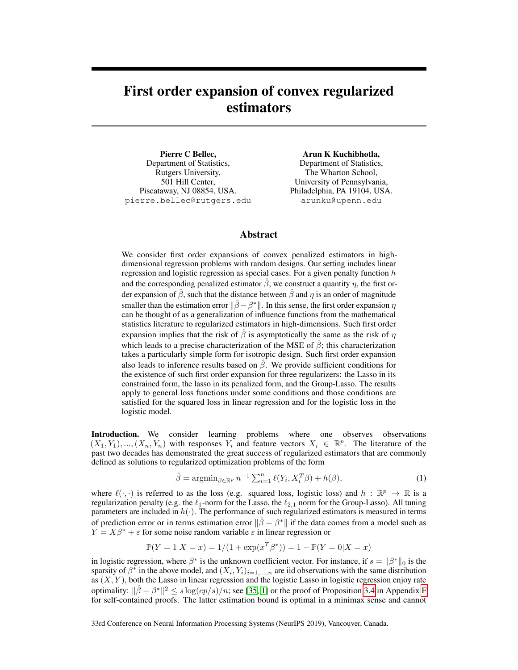# <span id="page-0-1"></span>First order expansion of convex regularized estimators

Pierre C Bellec, Department of Statistics, Rutgers University, 501 Hill Center, Piscataway, NJ 08854, USA. pierre.bellec@rutgers.edu Arun K Kuchibhotla,

Department of Statistics, The Wharton School, University of Pennsylvania, Philadelphia, PA 19104, USA. arunku@upenn.edu

## Abstract

We consider first order expansions of convex penalized estimators in highdimensional regression problems with random designs. Our setting includes linear regression and logistic regression as special cases. For a given penalty function h and the corresponding penalized estimator  $\hat{\beta}$ , we construct a quantity  $\eta$ , the first order expansion of  $\hat{\beta}$ , such that the distance between  $\hat{\beta}$  and  $\eta$  is an order of magnitude smaller than the estimation error  $\|\hat{\beta} - \beta^*\|$ . In this sense, the first order expansion  $\eta$ can be thought of as a generalization of influence functions from the mathematical statistics literature to regularized estimators in high-dimensions. Such first order expansion implies that the risk of  $\hat{\beta}$  is asymptotically the same as the risk of  $\eta$ which leads to a precise characterization of the MSE of  $\hat{\beta}$ ; this characterization takes a particularly simple form for isotropic design. Such first order expansion also leads to inference results based on  $\beta$ . We provide sufficient conditions for the existence of such first order expansion for three regularizers: the Lasso in its constrained form, the lasso in its penalized form, and the Group-Lasso. The results apply to general loss functions under some conditions and those conditions are satisfied for the squared loss in linear regression and for the logistic loss in the logistic model.

Introduction. We consider learning problems where one observes observations  $(X_1, Y_1), ..., (X_n, Y_n)$  with responses  $Y_i$  and feature vectors  $X_i \in \mathbb{R}^p$ . The literature of the past two decades has demonstrated the great success of regularized estimators that are commonly defined as solutions to regularized optimization problems of the form

<span id="page-0-0"></span>
$$
\hat{\beta} = \operatorname{argmin}_{\beta \in \mathbb{R}^p} n^{-1} \sum_{i=1}^n \ell(Y_i, X_i^T \beta) + h(\beta), \tag{1}
$$

where  $\ell(\cdot, \cdot)$  is referred to as the loss (e.g. squared loss, logistic loss) and  $h : \mathbb{R}^p \to \mathbb{R}$  is a regularization penalty (e.g. the  $\ell_1$ -norm for the Lasso, the  $\ell_{2,1}$  norm for the Group-Lasso). All tuning parameters are included in  $h(\cdot)$ . The performance of such regularized estimators is measured in terms of prediction error or in terms estimation error  $\|\hat{\beta} - \beta^*\|$  if the data comes from a model such as  $Y = X\beta^* + \varepsilon$  for some noise random variable  $\varepsilon$  in linear regression or

$$
\mathbb{P}(Y=1|X=x) = 1/(1 + \exp(x^T \beta^*)) = 1 - \mathbb{P}(Y=0|X=x)
$$

in logistic regression, where  $\beta^*$  is the unknown coefficient vector. For instance, if  $s = ||\beta^*||_0$  is the sparsity of  $\beta^*$  in the above model, and  $(X_i, Y_i)_{i=1,\dots,n}$  are iid observations with the same distribution as  $(X, Y)$ , both the Lasso in linear regression and the logistic Lasso in logistic regression enjoy rate optimality:  $\|\hat{\beta} - \beta^*\|^2 \leq s \log(ep/s)/n$ ; see [\[35,](#page-10-0) [1\]](#page-9-0) or the proof of Proposition [3.4](#page-5-0) in Appendix F for self-contained proofs. The latter estimation bound is optimal in a minimax sense and cannot

33rd Conference on Neural Information Processing Systems (NeurIPS 2019), Vancouver, Canada.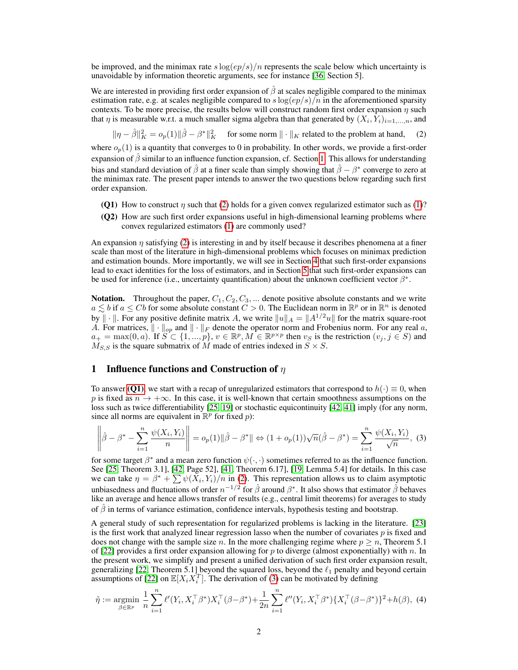be improved, and the minimax rate  $s \log(ep/s)/n$  represents the scale below which uncertainty is unavoidable by information theoretic arguments, see for instance [\[36,](#page-10-1) Section 5].

We are interested in providing first order expansion of  $\beta$  at scales negligible compared to the minimax estimation rate, e.g. at scales negligible compared to  $s \log(ep/s)/n$  in the aforementioned sparsity contexts. To be more precise, the results below will construct random first order expansion  $\eta$  such that  $\eta$  is measurable w.r.t. a much smaller sigma algebra than that generated by  $(X_i, Y_i)_{i=1,...,n}$ , and

<span id="page-1-1"></span> $\|\eta - \hat{\beta}\|^2_K = o_p(1) \|\hat{\beta} - \beta^*\|^2_K$  for some norm  $\|\cdot\|_K$  related to the problem at hand, (2)

where  $o_p(1)$  is a quantity that converges to 0 in probability. In other words, we provide a first-order expansion of  $\hat{\beta}$  similar to an influence function expansion, cf. Section [1.](#page-1-0) This allows for understanding bias and standard deviation of  $\hat{\beta}$  at a finer scale than simply showing that  $\hat{\beta} - \beta^*$  converge to zero at the minimax rate. The present paper intends to answer the two questions below regarding such first order expansion.

- <span id="page-1-2"></span>(Q1) How to construct  $\eta$  such that [\(2\)](#page-1-1) holds for a given convex regularized estimator such as [\(1\)](#page-0-0)?
- (Q2) How are such first order expansions useful in high-dimensional learning problems where convex regularized estimators [\(1\)](#page-0-0) are commonly used?

An expansion  $\eta$  satisfying [\(2\)](#page-1-1) is interesting in and by itself because it describes phenomena at a finer scale than most of the literature in high-dimensional problems which focuses on minimax prediction and estimation bounds. More importantly, we will see in Section [4](#page-7-0) that such first-order expansions lead to exact identities for the loss of estimators, and in Section [5](#page-7-1) that such first-order expansions can be used for inference (i.e., uncertainty quantification) about the unknown coefficient vector  $\beta^*$ .

**Notation.** Throughout the paper,  $C_1, C_2, C_3, \dots$  denote positive absolute constants and we write  $a \lesssim b$  if  $a \leq Cb$  for some absolute constant  $\ddot{C} > 0$ . The Euclidean norm in  $\mathbb{R}^p$  or in  $\mathbb{R}^n$  is denoted by  $\|\cdot\|$ . For any positive definite matrix A, we write  $\|u\|_A = \|A^{1/2}u\|$  for the matrix square-root A. For matrices,  $\|\cdot\|_{op}$  and  $\|\cdot\|_F$  denote the operator norm and Frobenius norm. For any real a,  $a_+ = \max(0, a)$ . If  $S \subset \{1, ..., p\}$ ,  $v \in \mathbb{R}^p$ ,  $M \in \mathbb{R}^{p \times p}$  then  $v_S$  is the restriction  $(v_j, j \in S)$  and  $M_{S,S}$  is the square submatrix of M made of entries indexed in  $S \times S$ .

### <span id="page-1-0"></span>1 Influence functions and Construction of  $\eta$

To answer [\(Q1\)](#page-1-2), we start with a recap of unregularized estimators that correspond to  $h(\cdot) \equiv 0$ , when p is fixed as  $n \to +\infty$ . In this case, it is well-known that certain smoothness assumptions on the loss such as twice differentiability [\[25,](#page-10-2) [19\]](#page-10-3) or stochastic equicontinuity [\[42,](#page-11-0) [41\]](#page-11-1) imply (for any norm, since all norms are equivalent in  $\mathbb{R}^p$  for fixed p):

<span id="page-1-3"></span>
$$
\left\|\hat{\beta} - \beta^* - \sum_{i=1}^n \frac{\psi(X_i, Y_i)}{n}\right\| = o_p(1) \|\hat{\beta} - \beta^*\| \Leftrightarrow (1 + o_p(1))\sqrt{n}(\hat{\beta} - \beta^*) = \sum_{i=1}^n \frac{\psi(X_i, Y_i)}{\sqrt{n}},
$$
(3)

for some target  $\beta^*$  and a mean zero function  $\psi(\cdot, \cdot)$  sometimes referred to as the influence function. See [\[25,](#page-10-2) Theorem 3.1], [\[42,](#page-11-0) Page 52], [\[41,](#page-11-1) Theorem 6.17], [\[19,](#page-10-3) Lemma 5.4] for details. In this case we can take  $\eta = \beta^* + \sum \psi(\bar{X}_i, Y_i)/n$  in [\(2\)](#page-1-1). This representation allows us to claim asymptotic unbiasedness and fluctuations of order  $n^{-1/2}$  for  $\hat{\beta}$  around  $\beta^*$ . It also shows that estimator  $\hat{\beta}$  behaves like an average and hence allows transfer of results (e.g., central limit theorems) for averages to study of  $\hat{\beta}$  in terms of variance estimation, confidence intervals, hypothesis testing and bootstrap.

A general study of such representation for regularized problems is lacking in the literature. [\[23\]](#page-10-4) is the first work that analyzed linear regression lasso when the number of covariates  $p$  is fixed and does not change with the sample size n. In the more challenging regime where  $p \ge n$ , Theorem 5.1 of [\[22\]](#page-10-5) provides a first order expansion allowing for p to diverge (almost exponentially) with n. In the present work, we simplify and present a unified derivation of such first order expansion result, generalizing [\[22,](#page-10-5) Theorem 5.1] beyond the squared loss, beyond the  $\ell_1$  penalty and beyond certain assumptions of [\[22\]](#page-10-5) on  $\mathbb{E}[X_i X_i^T]$ . The derivation of [\(3\)](#page-1-3) can be motivated by defining

<span id="page-1-4"></span>
$$
\tilde{\eta} := \underset{\beta \in \mathbb{R}^p}{\text{argmin}} \ \frac{1}{n} \sum_{i=1}^n \ell'(Y_i, X_i^{\top} \beta^*) X_i^{\top} (\beta - \beta^*) + \frac{1}{2n} \sum_{i=1}^n \ell''(Y_i, X_i^{\top} \beta^*) \{ X_i^{\top} (\beta - \beta^*) \}^2 + h(\beta), \tag{4}
$$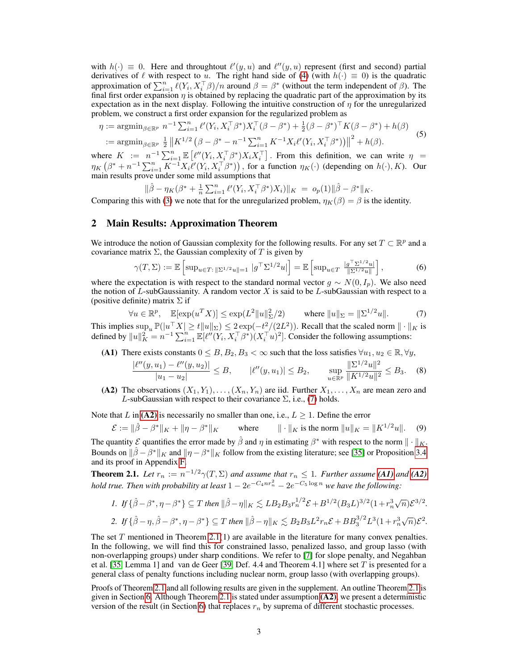with  $h(\cdot) \equiv 0$ . Here and throughtout  $\ell'(y, u)$  and  $\ell''(y, u)$  represent (first and second) partial derivatives of  $\ell$  with respect to u. The right hand side of [\(4\)](#page-1-4) (with  $h(\cdot) \equiv 0$ ) is the quadratic approximation of  $\sum_{i=1}^n \ell(Y_i, X_i^{\top} \beta)/n$  around  $\beta = \beta^*$  (without the term independent of  $\beta$ ). The final first order expansion  $\eta$  is obtained by replacing the quadratic part of the approximation by its expectation as in the next display. Following the intuitive construction of  $\eta$  for the unregularized problem, we construct a first order expansion for the regularized problem as

<span id="page-2-5"></span>
$$
\eta := \operatorname{argmin}_{\beta \in \mathbb{R}^p} n^{-1} \sum_{i=1}^n \ell'(Y_i, X_i^{\top} \beta^*) X_i^{\top} (\beta - \beta^*) + \frac{1}{2} (\beta - \beta^*)^{\top} K (\beta - \beta^*) + h(\beta)
$$
  
 := 
$$
\operatorname{argmin}_{\beta \in \mathbb{R}^p} \frac{1}{2} \| K^{1/2} (\beta - \beta^* - n^{-1} \sum_{i=1}^n K^{-1} X_i \ell'(Y_i, X_i^{\top} \beta^*)) \|^2 + h(\beta).
$$
 (5)

where  $K := n^{-1} \sum_{i=1}^n \mathbb{E} \left[ \ell''(Y_i, X_i^{\top} \beta^*) X_i X_i^{\top} \right]$ . From this definition, we can write  $\eta =$  $\eta_K(\beta^*+n^{-1}\sum_{i=1}^n K^{-1}X_i\ell'(Y_i,X_i^{\top}\beta^*))$ , for a function  $\eta_K(\cdot)$  (depending on  $h(\cdot),K$ ). Our main results prove under some mild assumptions that

$$
\|\hat{\beta} - \eta_K(\beta^* + \frac{1}{n}\sum_{i=1}^n \ell'(Y_i, X_i^{\top} \beta^*)X_i)\|_K = o_p(1)\|\hat{\beta} - \beta^*\|_K.
$$

Comparing this with [\(3\)](#page-1-3) we note that for the unregularized problem,  $\eta_K(\beta) = \beta$  is the identity.

## 2 Main Results: Approximation Theorem

We introduce the notion of Gaussian complexity for the following results. For any set  $T \subset \mathbb{R}^p$  and a covariance matrix  $\Sigma$ , the Gaussian complexity of T is given by

$$
\gamma(T, \Sigma) := \mathbb{E}\left[\sup_{u \in T : \|\Sigma^{1/2}u\| = 1} |g^{\top} \Sigma^{1/2} u|\right] = \mathbb{E}\left[\sup_{u \in T} \frac{|g^{\top} \Sigma^{1/2} u|}{\|\Sigma^{1/2} u\|}\right],\tag{6}
$$

where the expectation is with respect to the standard normal vector  $g \sim N(0, I_p)$ . We also need the notion of  $L$ -subGaussianity. A random vector X is said to be  $L$ -subGaussian with respect to a (positive definite) matrix  $\Sigma$  if

<span id="page-2-0"></span>
$$
\forall u \in \mathbb{R}^p, \quad \mathbb{E}[\exp(u^T X)] \le \exp(L^2 \|u\|_{\Sigma}^2/2) \qquad \text{where } \|u\|_{\Sigma} = \|\Sigma^{1/2} u\|. \tag{7}
$$

This implies  $\sup_u \mathbb{P}(|u^\top X| \ge t \|u\|_{\Sigma}) \le 2 \exp(-t^2/(2L^2))$ . Recall that the scaled norm  $\|\cdot\|_K$  is defined by  $||u||_K^2 = n^{-1} \sum_{i=1}^n \mathbb{E}[\ell''(Y_i, X_i^{\top} \beta^*)(X_i^{\top} u)^2]$ . Consider the following assumptions:

<span id="page-2-2"></span>(A1) There exists constants  $0 \leq B, B_2, B_3 < \infty$  such that the loss satisfies  $\forall u_1, u_2 \in \mathbb{R}, \forall y$ ,

<span id="page-2-4"></span>
$$
\frac{|\ell''(y, u_1) - \ell''(y, u_2)|}{|u_1 - u_2|} \le B, \qquad |\ell''(y, u_1)| \le B_2, \qquad \sup_{u \in \mathbb{R}^p} \frac{\|\Sigma^{1/2}u\|^2}{\|K^{1/2}u\|^2} \le B_3. \tag{8}
$$

<span id="page-2-1"></span>(A2) The observations  $(X_1, Y_1), \ldots, (X_n, Y_n)$  are iid. Further  $X_1, \ldots, X_n$  are mean zero and L-subGaussian with respect to their covariance  $\Sigma$ , i.e., [\(7\)](#page-2-0) holds.

Note that L in [\(A2\)](#page-2-1) is necessarily no smaller than one, i.e.,  $L > 1$ . Define the error

$$
\mathcal{E} := \|\hat{\beta} - \beta^*\|_K + \|\eta - \beta^*\|_K \qquad \text{where} \qquad \|\cdot\|_K \text{ is the norm } \|u\|_K = \|K^{1/2}u\|. \tag{9}
$$

The quantity  $\mathcal E$  quantifies the error made by  $\hat \beta$  and  $\eta$  in estimating  $\beta^*$  with respect to the norm  $\|\cdot\|_K$ . Bounds on  $\|\hat{\beta} - \beta^*\|_K$  and  $\|\eta - \beta^*\|_K$  follow from the existing literature; see [\[35\]](#page-10-0) or Proposition [3.4](#page-5-0) and its proof in Appendix [F.](#page-0-1)

<span id="page-2-3"></span>**Theorem 2.1.** Let  $r_n := n^{-1/2}\gamma(T, \Sigma)$  and assume that  $r_n \leq 1$ . Further assume [\(A1\)](#page-2-2) and [\(A2\)](#page-2-1) *hold true. Then with probability at least*  $1 - 2e^{-C_4nr_n^2} - 2e^{-C_5 \log n}$  we have the following:

1. If 
$$
\{\hat{\beta} - \beta^*, \eta - \beta^*\} \subseteq T
$$
 then  $\|\hat{\beta} - \eta\|_K \lesssim LB_2B_3r_n^{1/2}\mathcal{E} + B^{1/2}(B_3L)^{3/2}(1 + r_n^3\sqrt{n})\mathcal{E}^{3/2}$ .  
\n2. If  $\{\hat{\beta} - \eta, \hat{\beta} - \beta^*, \eta - \beta^*\} \subseteq T$  then  $\|\hat{\beta} - \eta\|_K \lesssim B_2B_3L^2r_n\mathcal{E} + BB_3^{3/2}L^3(1 + r_n^3\sqrt{n})\mathcal{E}^2$ .

The set  $T$  mentioned in Theorem [2.1\(](#page-2-3)1) are available in the literature for many convex penalties. In the following, we will find this for constrained lasso, penalized lasso, and group lasso (with non-overlapping groups) under sharp conditions. We refer to [\[7\]](#page-9-1) for slope penalty, and Negahban et al. [\[35,](#page-10-0) Lemma 1] and van de Geer [\[39,](#page-11-2) Def. 4.4 and Theorem 4.1] where set T is presented for a general class of penalty functions including nuclear norm, group lasso (with overlapping groups).

Proofs of Theorem [2.1](#page-2-3) and all following results are given in the supplement. An outline Theorem [2.1](#page-2-3) is given in Section [6.](#page-8-0) Although Theorem [2.1](#page-2-3) is stated under assumption  $(A2)$ , we present a deterministic version of the result (in Section [6\)](#page-8-0) that replaces  $r_n$  by suprema of different stochastic processes.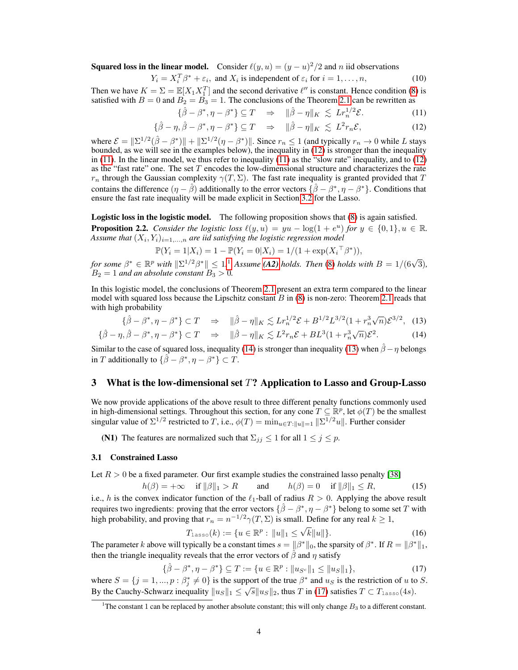**Squared loss in the linear model.** Consider  $\ell(y, u) = (y - u)^2/2$  and n iid observations

<span id="page-3-8"></span>
$$
Y_i = X_i^T \beta^* + \varepsilon_i, \text{ and } X_i \text{ is independent of } \varepsilon_i \text{ for } i = 1, \dots, n,
$$
 (10)

Then we have  $K = \Sigma = \mathbb{E}[X_1 X_1^T]$  and the second derivative  $\ell''$  is constant. Hence condition [\(8\)](#page-2-4) is satisfied with  $B = 0$  and  $B_2 = B_3 = 1$ . The conclusions of the Theorem [2.1](#page-2-3) can be rewritten as

<span id="page-3-1"></span><span id="page-3-0"></span>
$$
\{\hat{\beta} - \beta^*, \eta - \beta^*\} \subseteq T \quad \Rightarrow \quad \|\hat{\beta} - \eta\|_K \le L r_n^{1/2} \mathcal{E}.
$$

$$
\{\hat{\beta} - \eta, \hat{\beta} - \beta^*, \eta - \beta^*\} \subseteq T \quad \Rightarrow \quad \|\hat{\beta} - \eta\|_K \lesssim L^2 r_n \mathcal{E},\tag{12}
$$

where  $\mathcal{E} = ||\Sigma^{1/2}(\hat{\beta} - \beta^*)|| + ||\Sigma^{1/2}(\eta - \beta^*)||$ . Since  $r_n \le 1$  (and typically  $r_n \to 0$  while L stays bounded, as we will see in the examples below), the inequality in [\(12\)](#page-3-0) is stronger than the inequality in [\(11\)](#page-3-1). In the linear model, we thus refer to inequality [\(11\)](#page-3-1) as the "slow rate" inequality, and to [\(12\)](#page-3-0) as the "fast rate" one. The set  $T$  encodes the low-dimensional structure and characterizes the rate  $r_n$  through the Gaussian complexity  $\gamma(T, \Sigma)$ . The fast rate inequality is granted provided that T contains the difference  $(\eta - \hat{\beta})$  additionally to the error vectors  $\{\hat{\beta} - \beta^*, \eta - \beta^*\}$ . Conditions that ensure the fast rate inequality will be made explicit in Section [3.2](#page-4-0) for the Lasso.

<span id="page-3-10"></span>Logistic loss in the logistic model. The following proposition shows that [\(8\)](#page-2-4) is again satisfied. **Proposition 2.2.** *Consider the logistic loss*  $\ell(y, u) = yu - \log(1 + e^u)$  *for*  $y \in \{0, 1\}, u \in \mathbb{R}$ *.* Assume that  $(X_i, Y_i)_{i=1,...,n}$  are iid satisfying the logistic regression model

<span id="page-3-4"></span><span id="page-3-3"></span>
$$
\mathbb{P}(Y_i = 1 | X_i) = 1 - \mathbb{P}(Y_i = 0 | X_i) = 1/(1 + \exp(X_i \mathsf{T} \beta^*)),
$$

 $f$ or some  $\beta^* \in \mathbb{R}^p$  with  $\|\Sigma^{1/2}\beta^*\| \leq 1$  $\|\Sigma^{1/2}\beta^*\| \leq 1$  $\|\Sigma^{1/2}\beta^*\| \leq 1$ .<sup>1</sup> *Assume* [\(A2\)](#page-2-1) *holds. Then* [\(8\)](#page-2-4) *holds with*  $B = 1/(6\sqrt{3})$ *,*  $B_2 = 1$  *and an absolute constant*  $B_3 > 0$ *.* 

In this logistic model, the conclusions of Theorem [2.1](#page-2-3) present an extra term compared to the linear model with squared loss because the Lipschitz constant  $B$  in  $(8)$  is non-zero: Theorem [2.1](#page-2-3) reads that with high probability

$$
\{\hat{\beta} - \beta^*, \eta - \beta^*\} \subset T \quad \Rightarrow \quad \|\hat{\beta} - \eta\|_K \lesssim L r_n^{1/2} \mathcal{E} + B^{1/2} L^{3/2} (1 + r_n^3 \sqrt{n}) \mathcal{E}^{3/2}, \tag{13}
$$

$$
\{\hat{\beta} - \eta, \hat{\beta} - \beta^*, \eta - \beta^*\} \subset T \quad \Rightarrow \quad \|\hat{\beta} - \eta\|_K \lesssim L^2 r_n \mathcal{E} + BL^3 (1 + r_n^3 \sqrt{n}) \mathcal{E}^2. \tag{14}
$$

Similar to the case of squared loss, inequality [\(14\)](#page-3-3) is stronger than inequality [\(13\)](#page-3-4) when  $\hat{\beta} - \eta$  belongs in T additionally to  $\{\hat{\beta} - \beta^*, \eta - \beta^*\} \subset T$ .

## 3 What is the low-dimensional set  $T$ ? Application to Lasso and Group-Lasso

We now provide applications of the above result to three different penalty functions commonly used in high-dimensional settings. Throughout this section, for any cone  $T \subseteq \mathbb{R}^p$ , let  $\phi(T)$  be the smallest singular value of  $\Sigma^{1/2}$  restricted to T, i.e.,  $\phi(T) = \min_{u \in T: ||u|| = 1} ||\Sigma^{1/2}u||$ . Further consider

<span id="page-3-6"></span>(N1) The features are normalized such that  $\Sigma_{ij} \leq 1$  for all  $1 \leq j \leq p$ .

#### 3.1 Constrained Lasso

Let  $R > 0$  be a fixed parameter. Our first example studies the constrained lasso penalty [\[38\]](#page-11-3)

<span id="page-3-9"></span> $h(\beta) = +\infty$  if  $\|\beta\|_1 > R$  and  $h(\beta) = 0$  if  $\|\beta\|_1 \le R$ , (15) i.e., h is the convex indicator function of the  $\ell_1$ -ball of radius  $R > 0$ . Applying the above result requires two ingredients: proving that the error vectors  $\{\hat{\beta} - \beta^*, \eta - \beta^*\}$  belong to some set T with high probability, and proving that  $r_n = n^{-1/2} \gamma(T, \Sigma)$  is small. Define for any real  $k \ge 1$ ,

<span id="page-3-7"></span>
$$
T_{\text{lasso}}(k) := \{ u \in \mathbb{R}^p : ||u||_1 \le \sqrt{k} ||u|| \}. \tag{16}
$$

The parameter k above will typically be a constant times  $s = ||\beta^*||_0$ , the sparsity of  $\beta^*$ . If  $R = ||\beta^*||_1$ , then the triangle inequality reveals that the error vectors of  $\beta$  and  $\eta$  satisfy

<span id="page-3-5"></span>
$$
\{\hat{\beta} - \beta^*, \eta - \beta^*\} \subseteq T := \{ u \in \mathbb{R}^p : ||u_{S^c}||_1 \le ||u_S||_1 \},\tag{17}
$$

where  $S = \{j = 1, ..., p : \beta_j^* \neq 0\}$  is the support of the true  $\beta^*$  and  $u_S$  is the restriction of u to S. By the Cauchy-Schwarz inequality  $||u_S||_1 \leq \sqrt{s}||u_S||_2$ , thus T in [\(17\)](#page-3-5) satisfies  $T \subset T_{\text{lasso}}(4s)$ .

<span id="page-3-11"></span><span id="page-3-2"></span><sup>&</sup>lt;sup>1</sup>The constant 1 can be replaced by another absolute constant; this will only change  $B_3$  to a different constant.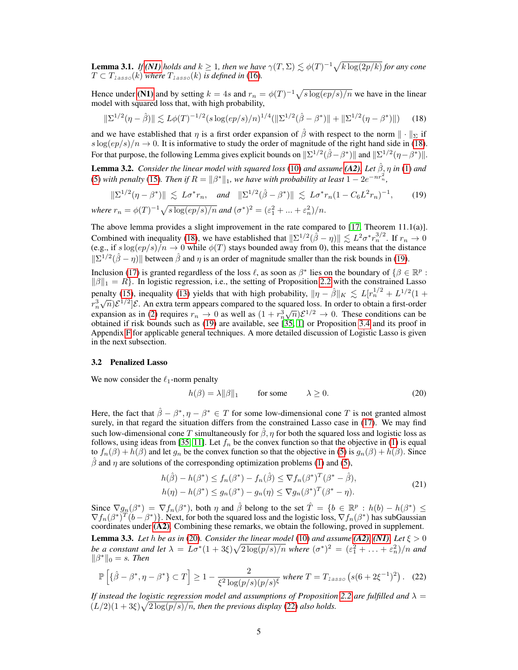**Lemma 3.1.** *If [\(N1\)](#page-3-6) holds and*  $k \geq 1$ *, then we have*  $\gamma(T, \Sigma) \lesssim \phi(T)^{-1} \sqrt{k \log(2p/k)}$  *for any cone*  $T \subset T_{lasso}(k)$  *where*  $T_{lasso}(k)$  *is defined in* [\(16\)](#page-3-7).

Hence under [\(N1\)](#page-3-6) and by setting  $k = 4s$  and  $r_n = \phi(T)^{-1} \sqrt{s \log(ep/s)/n}$  we have in the linear model with squared loss that, with high probability,

<span id="page-4-1"></span>
$$
\|\Sigma^{1/2}(\eta - \hat{\beta})\| \lesssim L\phi(T)^{-1/2} (s \log(ep/s)/n)^{1/4} (\|\Sigma^{1/2}(\hat{\beta} - \beta^*)\| + \|\Sigma^{1/2}(\eta - \beta^*)\|) \tag{18}
$$

and we have established that  $\eta$  is a first order expansion of  $\hat{\beta}$  with respect to the norm  $\|\cdot\|_{\Sigma}$  if  $s \log(ep/s)/n \rightarrow 0$ . It is informative to study the order of magnitude of the right hand side in [\(18\)](#page-4-1). For that purpose, the following Lemma gives explicit bounds on  $\|\Sigma^{1/2}(\hat{\beta}-\beta^*)\|$  and  $\|\Sigma^{1/2}(\eta-\beta^*)\|$ .

<span id="page-4-5"></span>**Lemma 3.2.** *Consider the linear model with squared loss* [\(10\)](#page-3-8) *and assume* [\(A2\)](#page-2-1)*. Let*  $\hat{\beta}$ ,  $\eta$  *in* [\(1\)](#page-0-0) *and* [\(5\)](#page-2-5) with penalty [\(15\)](#page-3-9). Then if  $R = \|\beta^*\|_1$ , we have with probability at least  $1 - 2e^{-nr_n^2}$ ,

<span id="page-4-2"></span>
$$
\|\Sigma^{1/2}(\eta - \beta^*)\| \le L\sigma^* r_n, \quad \text{and} \quad \|\Sigma^{1/2}(\hat{\beta} - \beta^*)\| \le L\sigma^* r_n (1 - C_6 L^2 r_n)^{-1}, \tag{19}
$$

*where*  $r_n = \phi(T)^{-1} \sqrt{s \log(ep/s)/n}$  *and*  $(\sigma^*)^2 = (\varepsilon_1^2 + ... + \varepsilon_n^2)/n$ .

The above lemma provides a slight improvement in the rate compared to  $[17,$  Theorem  $11.1(a)$ ]. Combined with inequality [\(18\)](#page-4-1), we have established that  $\|\Sigma^{1/2}(\hat{\beta}-\eta)\| \lesssim L^2\sigma^*r_n^{3/2}$ . If  $r_n \to 0$ (e.g., if  $s \log(ep/s)/n \to 0$  while  $\phi(T)$  stays bounded away from 0), this means that the distance  $\|\Sigma^{1/2}(\hat{\beta}-\eta)\|$  between  $\hat{\beta}$  and  $\eta$  is an order of magnitude smaller than the risk bounds in [\(19\)](#page-4-2).

Inclusion [\(17\)](#page-3-5) is granted regardless of the loss  $\ell$ , as soon as  $\beta^*$  lies on the boundary of  $\{\beta \in \mathbb{R}^p :$  $\|\beta\|_1 = R$ . In logistic regression, i.e., the setting of Proposition [2.2](#page-3-10) with the constrained Lasso penalty [\(15\)](#page-3-9), inequality [\(13\)](#page-3-4) yields that with high probability,  $\|\eta - \hat{\beta}\|_K \lesssim L[r_n^{1/2} + L^{1/2}(1 +$  $r_n^3$  $\sqrt{n}$ ) $\mathcal{E}^{1/2}$ ] $\mathcal{E}$ . An extra term appears compared to the squared loss. In order to obtain a first-order expansion as in [\(2\)](#page-1-1) requires  $r_n \to 0$  as well as  $(1 + r_n^3)$  $\sqrt{n}$ ) $\mathcal{E}^{1/2} \to 0$ . These conditions can be obtained if risk bounds such as [\(19\)](#page-4-2) are available, see [\[35,](#page-10-0) [1\]](#page-9-0) or Proposition [3.4](#page-5-0) and its proof in Appendix [F](#page-0-1) for applicable general techniques. A more detailed discussion of Logistic Lasso is given in the next subsection.

#### <span id="page-4-0"></span>3.2 Penalized Lasso

We now consider the  $\ell_1$ -norm penalty

<span id="page-4-3"></span>
$$
h(\beta) = \lambda \|\beta\|_1 \qquad \text{for some} \qquad \lambda \ge 0. \tag{20}
$$

Here, the fact that  $\hat{\beta} - \beta^*, \eta - \beta^* \in T$  for some low-dimensional cone T is not granted almost surely, in that regard the situation differs from the constrained Lasso case in [\(17\)](#page-3-5). We may find such low-dimensional cone T simultaneously for  $\hat{\beta}$ ,  $\eta$  for both the squared loss and logistic loss as follows, using ideas from [\[35,](#page-10-0) [11\]](#page-9-3). Let  $f_n$  be the convex function so that the objective in [\(1\)](#page-0-0) is equal to  $f_n(\beta) + h(\beta)$  and let  $g_n$  be the convex function so that the objective in [\(5\)](#page-2-5) is  $g_n(\beta) + h(\beta)$ . Since  $\hat{\beta}$  and  $\eta$  are solutions of the corresponding optimization problems [\(1\)](#page-0-0) and [\(5\)](#page-2-5),

$$
h(\hat{\beta}) - h(\beta^*) \le f_n(\beta^*) - f_n(\hat{\beta}) \le \nabla f_n(\beta^*)^T(\beta^* - \hat{\beta}),
$$
  
\n
$$
h(\eta) - h(\beta^*) \le g_n(\beta^*) - g_n(\eta) \le \nabla g_n(\beta^*)^T(\beta^* - \eta).
$$
\n(21)

Since  $\nabla g_n(\beta^*) = \nabla f_n(\beta^*)$ , both  $\eta$  and  $\hat{\beta}$  belong to the set  $\hat{T} = \{b \in \mathbb{R}^p : h(b) - h(\beta^*) \leq \theta \}$  $\nabla f_n(\beta^*)^T(\vec{b}-\beta^*)\}$ . Next, for both the squared loss and the logistic loss,  $\nabla f_n(\beta^*)$  has subGaussian coordinates under [\(A2\)](#page-2-1). Combining these remarks, we obtain the following, proved in supplement.

<span id="page-4-6"></span>**Lemma 3.3.** Let h be as in [\(20\)](#page-4-3). Consider the linear model [\(10\)](#page-3-8) and assume [\(A2\)](#page-2-1), [\(N1\)](#page-3-6). Let  $\xi > 0$ *be a constant and let*  $\lambda = L\sigma^*(1+3\xi)\sqrt{2\log(p/s)/n}$  *where*  $(\sigma^*)^2 = (\varepsilon_1^2 + \ldots + \varepsilon_n^2)/n$  *and*  $\|\beta^*\|_0 = s$ . *Then* 

<span id="page-4-4"></span>
$$
\mathbb{P}\left[\{\hat{\beta}-\beta^*,\eta-\beta^*\}\subset T\right] \ge 1 - \frac{2}{\xi^2 \log(p/s)(p/s)^{\xi}} \text{ where } T = T_{\text{lasso}}\left(s(6+2\xi^{-1})^2\right). \tag{22}
$$

*If instead the logistic regression model and assumptions of Proposition* [2.2](#page-3-10) *are fulfilled and*  $\lambda =$  $(L/2)(1+3\xi)\sqrt{2\log(p/s)/n}$ , then the previous display [\(22\)](#page-4-4) also holds.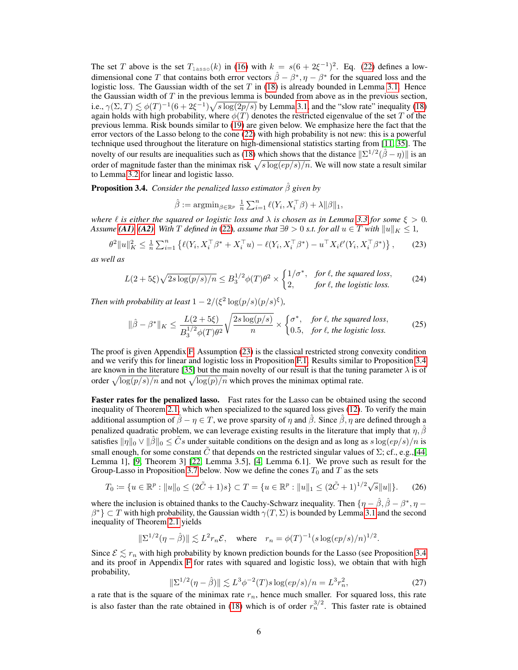The set T above is the set  $T_{\text{lasso}}(k)$  in [\(16\)](#page-3-7) with  $k = s(6 + 2\xi^{-1})^2$ . Eq. [\(22\)](#page-4-4) defines a lowdimensional cone T that contains both error vectors  $\hat{\beta} - \beta^*, \eta - \beta^*$  for the squared loss and the logistic loss. The Gaussian width of the set  $T$  in [\(18\)](#page-4-1) is already bounded in Lemma [3.1.](#page-3-11) Hence the Gaussian width of  $T$  in the previous lemma is bounded from above as in the previous section, i.e.,  $\gamma(\Sigma, T) \lesssim \phi(T)^{-1}(6 + 2\xi^{-1})\sqrt{s \log(2p/s)}$  by Lemma [3.1,](#page-3-11) and the "slow rate" inequality [\(18\)](#page-4-1) again holds with high probability, where  $\phi(T)$  denotes the restricted eigenvalue of the set T of the previous lemma. Risk bounds similar to [\(19\)](#page-4-2) are given below. We emphasize here the fact that the error vectors of the Lasso belong to the cone [\(22\)](#page-4-4) with high probability is not new: this is a powerful technique used throughout the literature on high-dimensional statistics starting from [\[11,](#page-9-3) [35\]](#page-10-0). The novelty of our results are inequalities such as [\(18\)](#page-4-1) which shows that the distance  $\|\Sigma^{1/2}(\hat{\beta}-\eta)\|$  is an order of magnitude faster than the minimax risk  $\sqrt{s \log(ep/s)/n}$ . We will now state a result similar to Lemma [3.2](#page-4-5) for linear and logistic lasso.

<span id="page-5-0"></span>Proposition 3.4. *Consider the penalized lasso estimator* βˆ *given by*

$$
\hat{\beta} := \mathop{\rm argmin}_{\beta \in \mathbb{R}^p} \ \tfrac{1}{n} \textstyle \sum_{i=1}^n \ell(Y_i, X_i^\top \beta) + \lambda \|\beta\|_1,
$$

*where*  $\ell$  *is either the squared or logistic loss and*  $\lambda$  *is chosen as in Lemma [3.3](#page-4-6) for some*  $\xi > 0$ *. Assume* [\(A1\)](#page-2-2), [\(A2\)](#page-2-1). With T defined in [\(22\)](#page-4-4), assume that  $\exists \theta > 0$  s.t. for all  $u \in T$  with  $||u||_K < 1$ ,

<span id="page-5-1"></span>
$$
\theta^2 \|u\|_K^2 \le \frac{1}{n} \sum_{i=1}^n \left\{ \ell(Y_i, X_i^\top \beta^* + X_i^\top u) - \ell(Y_i, X_i^\top \beta^*) - u^\top X_i \ell'(Y_i, X_i^\top \beta^*) \right\},\tag{23}
$$

*as well as*

$$
L(2+5\xi)\sqrt{2s\log(p/s)/n} \le B_3^{1/2}\phi(T)\theta^2 \times \begin{cases} 1/\sigma^*, & \text{for } \ell, \text{ the squared loss,} \\ 2, & \text{for } \ell, \text{ the logistic loss.} \end{cases}
$$
 (24)

*Then with probability at least*  $1 - 2/(\xi^2 \log(p/s)(p/s)^{\xi})$ *,* 

$$
\|\hat{\beta} - \beta^*\|_K \le \frac{L(2+5\xi)}{B_3^{1/2}\phi(T)\theta^2} \sqrt{\frac{2s\log(p/s)}{n}} \times \begin{cases} \sigma^*, & \text{for } \ell, \text{ the squared loss,} \\ 0.5, & \text{for } \ell, \text{ the logistic loss.} \end{cases}
$$
(25)

The proof is given Appendix [F.](#page-0-1) Assumption [\(23\)](#page-5-1) is the classical restricted strong convexity condition and we verify this for linear and logistic loss in Proposition [F.1.](#page-0-1) Results similar to Proposition [3.4](#page-5-0) are known in the literature [\[35\]](#page-10-0) but the main novelty of our result is that the tuning parameter  $\lambda$  is of order  $\sqrt{\log(p/s)/n}$  and not  $\sqrt{\log(p)/n}$  which proves the minimax optimal rate.

Faster rates for the penalized lasso. Fast rates for the Lasso can be obtained using the second inequality of Theorem [2.1,](#page-2-3) which when specialized to the squared loss gives [\(12\)](#page-3-0). To verify the main additional assumption of  $\hat{\beta} - \eta \in T$ , we prove sparsity of  $\eta$  and  $\hat{\beta}$ . Since  $\hat{\beta}$ ,  $\eta$  are defined through a penalized quadratic problem, we can leverage existing results in the literature that imply that  $\eta$ ,  $\hat{\beta}$ satisfies  $\|\eta\|_0 \vee \|\hat{\beta}\|_0 \leq \tilde{C}s$  under suitable conditions on the design and as long as  $s \log(ep/s)/n$  is small enough, for some constant  $\tilde{C}$  that depends on the restricted singular values of  $\Sigma$ ; cf., e.g., [\[44,](#page-11-4) Lemma 1], [\[9,](#page-9-4) Theorem 3] [\[22,](#page-10-5) Lemma 3.5], [\[4,](#page-9-5) Lemma 6.1]. We prove such as result for the Group-Lasso in Proposition [3.7](#page-6-0) below. Now we define the cones  $T_0$  and T as the sets

<span id="page-5-3"></span>
$$
T_0 := \{ u \in \mathbb{R}^p : ||u||_0 \le (2\tilde{C} + 1)s \} \subset T = \{ u \in \mathbb{R}^p : ||u||_1 \le (2\tilde{C} + 1)^{1/2}\sqrt{s}||u|| \}.
$$
 (26)

where the inclusion is obtained thanks to the Cauchy-Schwarz inequality. Then  $\{\eta-\hat{\beta},\hat{\beta}-\beta^*,\eta-\hat{\beta}\}$  $\beta^*$ }  $\subset T$  with high probability, the Gaussian width  $\gamma(T, \Sigma)$  is bounded by Lemma [3.1](#page-3-11) and the second inequality of Theorem [2.1](#page-2-3) yields

$$
\|\Sigma^{1/2}(\eta-\hat{\beta})\| \lesssim L^2 r_n \mathcal{E}, \quad \text{where} \quad r_n = \phi(T)^{-1} (s \log(ep/s)/n)^{1/2}.
$$

Since  $\mathcal{E} \leq r_n$  with high probability by known prediction bounds for the Lasso (see Proposition [3.4](#page-5-0)) and its proof in Appendix [F](#page-0-1) for rates with squared and logistic loss), we obtain that with high probability,

<span id="page-5-2"></span>
$$
\|\Sigma^{1/2}(\eta - \hat{\beta})\| \lesssim L^3 \phi^{-2}(T) s \log(ep/s)/n = L^3 r_n^2,
$$
\n(27)

a rate that is the square of the minimax rate  $r_n$ , hence much smaller. For squared loss, this rate is also faster than the rate obtained in [\(18\)](#page-4-1) which is of order  $r_n^{3/2}$ . This faster rate is obtained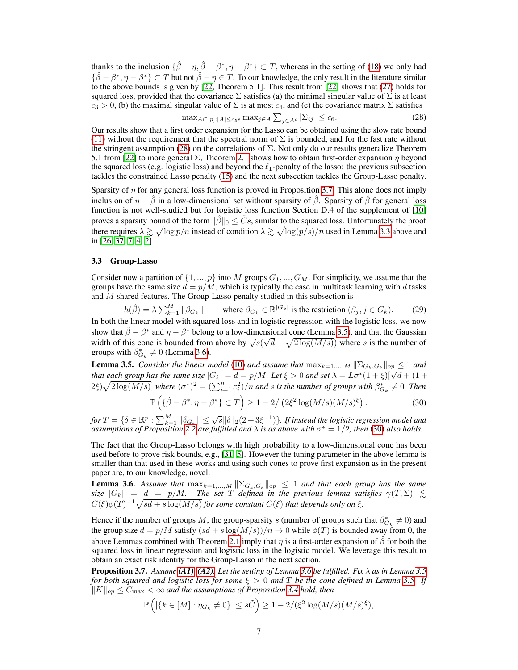thanks to the inclusion  $\{\hat{\beta} - \eta, \hat{\beta} - \beta^*, \eta - \beta^*\} \subset T$ , whereas in the setting of [\(18\)](#page-4-1) we only had  $\{\hat{\beta} - \beta^*, \eta - \beta^*\} \subset T$  but not  $\hat{\beta} - \eta \in T$ . To our knowledge, the only result in the literature similar to the above bounds is given by [\[22,](#page-10-5) Theorem 5.1]. This result from [\[22\]](#page-10-5) shows that [\(27\)](#page-5-2) holds for squared loss, provided that the covariance  $\Sigma$  satisfies (a) the minimal singular value of  $\Sigma$  is at least  $c_3 > 0$ , (b) the maximal singular value of  $\Sigma$  is at most  $c_4$ , and (c) the covariance matrix  $\Sigma$  satisfies

<span id="page-6-1"></span>
$$
\max_{A \subset [p]:|A| \le c_5 s} \max_{j \in A} \sum_{j \in A^c} |\Sigma_{ij}| \le c_6. \tag{28}
$$

Our results show that a first order expansion for the Lasso can be obtained using the slow rate bound [\(11\)](#page-3-1) without the requirement that the spectral norm of  $\Sigma$  is bounded, and for the fast rate without the stringent assumption [\(28\)](#page-6-1) on the correlations of  $\Sigma$ . Not only do our results generalize Theorem 5.1 from [\[22\]](#page-10-5) to more general  $\Sigma$ , Theorem [2.1](#page-2-3) shows how to obtain first-order expansion  $\eta$  beyond the squared loss (e.g. logistic loss) and beyond the  $\ell_1$ -penalty of the lasso: the previous subsection tackles the constrained Lasso penalty [\(15\)](#page-3-9) and the next subsection tackles the Group-Lasso penalty.

Sparsity of  $\eta$  for any general loss function is proved in Proposition [3.7.](#page-6-0) This alone does not imply inclusion of  $\eta - \hat{\beta}$  in a low-dimensional set without sparsity of  $\hat{\beta}$ . Sparsity of  $\hat{\beta}$  for general loss function is not well-studied but for logistic loss function Section D.4 of the supplement of [\[10\]](#page-9-6) proves a sparsity bound of the form  $\|\hat{\beta}\|_0 \leq \tilde{C}s$ , similar to the squared loss. Unfortunately the proof there requires  $\lambda \gtrsim \sqrt{\log p/n}$  instead of condition  $\lambda \gtrsim \sqrt{\log(p/s)/n}$  used in Lemma [3.3](#page-4-6) above and in [\[26,](#page-10-6) [37,](#page-10-7) [7,](#page-9-1) [4,](#page-9-5) [2\]](#page-9-7).

#### <span id="page-6-5"></span>3.3 Group-Lasso

Consider now a partition of  $\{1, ..., p\}$  into M groups  $G_1, ..., G_M$ . For simplicity, we assume that the groups have the same size  $d = p/M$ , which is typically the case in multitask learning with d tasks and  $M$  shared features. The Group-Lasso penalty studied in this subsection is

 $h(\hat{\beta}) = \lambda \sum_{k=1}^{M} ||\beta_{G_k}||$  where  $\beta_{G_k} \in \mathbb{R}^{|G_k|}$  is the restriction  $(\beta_j, j \in G_k)$ . (29)

In both the linear model with squared loss and in logistic regression with the logistic loss, we now show that  $\hat{\beta} - \beta^*$  and  $\eta - \beta^*$  belong to a low-dimensional cone (Lemma [3.5\)](#page-6-2), and that the Gaussian width of this cone is bounded from above by  $\sqrt{s}(\sqrt{d} + \sqrt{2 \log(M/s)})$  where s is the number of groups with  $\beta_{G_k}^* \neq 0$  (Lemma [3.6\)](#page-6-3).

<span id="page-6-2"></span>**Lemma 3.5.** *Consider the linear model* [\(10\)](#page-3-8) *and assume that*  $\max_{k=1,...,M} \|\Sigma_{G_k,G_k}\|_{op} \leq 1$  *and that each group has the same size*  $|G_k| = d = p/M$ . Let  $\xi > 0$  and set  $\lambda = L\sigma^*(1+\xi)[\sqrt{d} + (1+\xi)]$  $2\xi)\sqrt{2\log(M/s)}$  *where*  $(\sigma^*)^2 = (\sum_{i=1}^n \varepsilon_i^2)/n$  *and s is the number of groups with*  $\beta_{G_k}^* \neq 0$ *. Then* 

<span id="page-6-4"></span>
$$
\mathbb{P}\left(\{\hat{\beta}-\beta^*,\eta-\beta^*\}\subset T\right)\geq 1-2/\left(2\xi^2\log(M/s)(M/s)^{\xi}\right). \tag{30}
$$

 $for T = \{ \delta \in \mathbb{R}^p : \sum_{k=1}^M \| \delta_{G_k} \| \leq \sqrt{s} \|\delta\|_2 (2+3\xi^{-1}) \}$ *. If instead the logistic regression model and* assumptions of Proposition [2.2](#page-3-10) are fulfilled and  $\lambda$  is as above with  $\sigma^* = 1/2$ , then [\(30\)](#page-6-4) also holds.

The fact that the Group-Lasso belongs with high probability to a low-dimensional cone has been used before to prove risk bounds, e.g., [\[31,](#page-10-8) [5\]](#page-9-8). However the tuning parameter in the above lemma is smaller than that used in these works and using such cones to prove first expansion as in the present paper are, to our knowledge, novel.

<span id="page-6-3"></span>**Lemma 3.6.** Assume that  $\max_{k=1,\dots,M} \|\Sigma_{G_k,G_k}\|_{op} \leq 1$  and that each group has the same *size*  $|G_k| = d = p/M$ . The set T defined in the previous lemma satisfies  $\gamma(T, \Sigma) \leq$  $C(\xi)\phi(T)^{-1}\sqrt{sd + s\log(M/s)}$  for some constant  $C(\xi)$  that depends only on  $\xi$ .

Hence if the number of groups M, the group-sparsity s (number of groups such that  $\beta_{G_k}^* \neq 0$ ) and the group size  $d = p/M$  satisfy  $sd + s \log(M/s)/n \rightarrow 0$  while  $\phi(T)$  is bounded away from 0, the above Lemmas combined with Theorem [2.1](#page-2-3) imply that  $\eta$  is a first-order expansion of  $\hat{\beta}$  for both the squared loss in linear regression and logistic loss in the logistic model. We leverage this result to obtain an exact risk identity for the Group-Lasso in the next section.

<span id="page-6-0"></span>**Proposition 3.7.** *Assume* [\(A1\)](#page-2-2), [\(A2\)](#page-2-1). Let the setting of Lemma [3.6](#page-6-3) be fulfilled. Fix  $\lambda$  as in Lemma [3.5](#page-6-2) *for both squared and logistic loss for some* ξ > 0 *and* T *be the cone defined in Lemma [3.5.](#page-6-2) If*  $||K||_{op} \leq C_{\text{max}} < \infty$  *and the assumptions of Proposition [3.4](#page-5-0) hold, then* 

$$
\mathbb{P}\left(|\{k \in [M] : \eta_{G_k} \neq 0\}| \le s\tilde{C}\right) \ge 1 - 2/(\xi^2 \log(M/s)(M/s)^{\xi}),
$$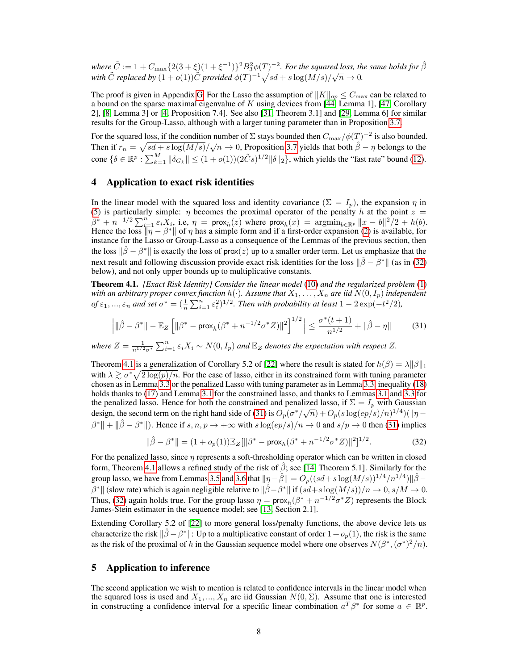where  $\tilde C:=1+C_{\max}\{2(3+\xi)(1+\xi^{-1})\}^2B_3^2\phi(T)^{-2}.$  For the squared loss, the same holds for  $\hat\beta$ *where*  $C := 1 + C_{\text{max}} \left(2(3 + \zeta)(1 + \zeta) \right)$  *P*  $D_3 \varphi(1)$  *. For the squared toss, the with*  $\tilde{C}$  *replaced by*  $(1 + o(1))\tilde{C}$  *provided*  $\varphi(T)^{-1} \sqrt{sd + s \log(M/s)}/\sqrt{n} \to 0$ .

The proof is given in Appendix [G.](#page-0-1) For the Lasso the assumption of  $||K||_{op} \leq C_{\text{max}}$  can be relaxed to a bound on the sparse maximal eigenvalue of K using devices from [\[44,](#page-11-4) Lemma 1], [\[47,](#page-11-5) Corollary 2], [\[8,](#page-9-9) Lemma 3] or [\[4,](#page-9-5) Proposition 7.4]. See also [\[31,](#page-10-8) Theorem 3.1] and [\[29,](#page-10-9) Lemma 6] for similar results for the Group-Lasso, although with a larger tuning parameter than in Proposition [3.7.](#page-6-0)

For the squared loss, if the condition number of  $\Sigma$  stays bounded then  $C_{\rm max}/\phi(T)^{-2}$  is also bounded. Then if  $r_n = \sqrt{sd + s \log(M/s)}/\sqrt{n} \to 0$ , Proposition [3.7](#page-6-0) yields that both  $\hat{\beta} - \eta$  belongs to the cone  $\{\delta \in \mathbb{R}^p : \sum_{k=1}^M \|\delta_{G_k}\| \leq (1+o(1))(2\tilde{C}s)^{1/2} \|\delta\|_2\}$ , which yields the "fast rate" bound [\(12\)](#page-3-0).

## <span id="page-7-0"></span>4 Application to exact risk identities

In the linear model with the squared loss and identity covariance  $(\Sigma = I_p)$ , the expansion  $\eta$  in [\(5\)](#page-2-5) is particularly simple:  $\eta$  becomes the proximal operator of the penalty h at the point  $z =$  $\beta^* + n^{-1/2} \sum_{i=1}^n \varepsilon_i X_i$ , i.e,  $\eta = \text{prox}_h(z)$  where  $\text{prox}_h(x) = \text{argmin}_{b \in \mathbb{R}^p} ||x - b||^2/2 + h(b)$ . Hence the loss  $\|\eta - \beta^*\|$  of  $\eta$  has a simple form and if a first-order expansion [\(2\)](#page-1-1) is available, for instance for the Lasso or Group-Lasso as a consequence of the Lemmas of the previous section, then the loss  $\|\hat{\beta} - \beta^*\|$  is exactly the loss of prox(z) up to a smaller order term. Let us emphasize that the next result and following discussion provide exact risk identities for the loss  $\|\hat{\beta} - \beta^*\|$  (as in [\(32\)](#page-7-2) below), and not only upper bounds up to multiplicative constants.

<span id="page-7-3"></span>Theorem 4.1. *[Exact Risk Identity] Consider the linear model* [\(10\)](#page-3-8) *and the regularized problem* [\(1\)](#page-0-0) with an arbitrary proper convex function  $h(\cdot)$ . Assume that  $X_1,\ldots,X_n$  are iid  $N(0,I_p)$  independent *of*  $\varepsilon_1, ..., \varepsilon_n$  and set  $\sigma^* = (\frac{1}{n} \sum_{i=1}^n \varepsilon_i^2)^{1/2}$ . Then with probability at least  $1 - 2 \exp(-t^2/2)$ ,

<span id="page-7-4"></span>
$$
\left| \|\hat{\beta} - \beta^*\| - \mathbb{E}_Z \left[ \|\beta^* - \text{prox}_h(\beta^* + n^{-1/2}\sigma^* Z) \|^2 \right]^{1/2} \right| \le \frac{\sigma^*(t+1)}{n^{1/2}} + \|\hat{\beta} - \eta\| \tag{31}
$$

where  $Z = \frac{1}{n^{1/2}\sigma^*}\sum_{i=1}^n \varepsilon_i X_i \sim N(0, I_p)$  and  $\mathbb{E}_Z$  denotes the expectation with respect Z.

Theorem [4.1](#page-7-3) is a generalization of Corollary 5.2 of [\[22\]](#page-10-5) where the result is stated for  $h(\beta) = \lambda ||\beta||_1$ with  $\lambda \gtrsim \sigma^* \sqrt{2 \log(p)/n}$ . For the case of lasso, either in its constrained form with tuning parameter chosen as in Lemma [3.3](#page-4-6) or the penalized Lasso with tuning parameter as in Lemma [3.3,](#page-4-6) inequality [\(18\)](#page-4-1) holds thanks to [\(17\)](#page-3-5) and Lemma [3.1](#page-3-11) for the constrained lasso, and thanks to Lemmas [3.1](#page-3-11) and [3.3](#page-4-6) for the penalized lasso. Hence for both the constrained and penalized lasso, if  $\Sigma = I_p$  with Gaussian design, the second term on the right hand side of [\(31\)](#page-7-4) is  $O_p(\sigma^*/\sqrt{n}) + O_p(s \log(ep/s)/n)^{1/4}$ )( $||\eta \beta^* \| + \| \hat{\beta} - \beta^* \|$ ). Hence if  $s, n, p \to +\infty$  with  $s \log(ep/s)/n \to 0$  and  $s/p \to 0$  then [\(31\)](#page-7-4) implies

<span id="page-7-2"></span>
$$
\|\hat{\beta} - \beta^*\| = (1 + o_p(1)) \mathbb{E}_Z[\|\beta^* - \mathsf{prox}_h(\beta^* + n^{-1/2}\sigma^*Z)\|^2]^{1/2}.
$$
 (32)

For the penalized lasso, since  $\eta$  represents a soft-thresholding operator which can be written in closed form, Theorem [4.1](#page-7-3) allows a refined study of the risk of  $\hat{\beta}$ ; see [\[14,](#page-9-10) Theorem 5.1]. Similarly for the group lasso, we have from Lemmas [3.5](#page-6-2) and [3.6](#page-6-3) that  $\|\eta-\hat{\beta}\| = O_p((sd+s\log(M/s))^{1/4}/n^{1/4})\|\hat{\beta}-\hat{\beta}\|$  $\beta^*$  (slow rate) which is again negligible relative to  $\|\hat{\beta} - \beta^*\|$  if  $(sd + s \log(M/s))/n \to 0$ ,  $s/M \to 0$ . Thus, [\(32\)](#page-7-2) again holds true. For the group lasso  $\eta = \text{prox}_{h}(\beta^* + n^{-1/2}\sigma^* Z)$  represents the Block James-Stein estimator in the sequence model; see [\[13,](#page-9-11) Section 2.1].

Extending Corollary 5.2 of [\[22\]](#page-10-5) to more general loss/penalty functions, the above device lets us characterize the risk  $\|\hat{\beta}-\beta^*\|$ : Up to a multiplicative constant of order  $1 + o_p(1)$ , the risk is the same as the risk of the proximal of h in the Gaussian sequence model where one observes  $N(\beta^*, (\sigma^*)^2/n)$ .

## <span id="page-7-1"></span>5 Application to inference

The second application we wish to mention is related to confidence intervals in the linear model when the squared loss is used and  $X_1, ..., X_n$  are iid Gaussian  $N(0, \Sigma)$ . Assume that one is interested in constructing a confidence interval for a specific linear combination  $a^T \beta^*$  for some  $a \in \mathbb{R}^p$ .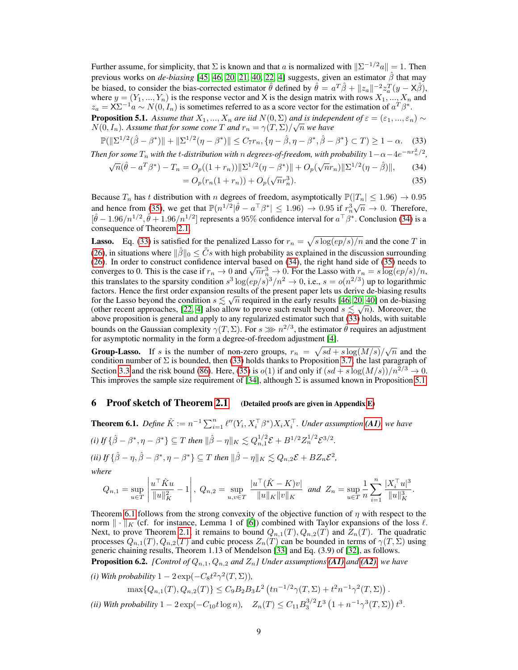Further assume, for simplicity, that  $\Sigma$  is known and that a is normalized with  $\|\Sigma^{-1/2}a\| = 1$ . Then previous works on *de-biasing* [\[45,](#page-11-6) [46,](#page-11-7) [20,](#page-10-10) [21,](#page-10-11) [40,](#page-11-8) [22,](#page-10-5) [4\]](#page-9-5) suggests, given an estimator  $\hat{\beta}$  that may be biased, to consider the bias-corrected estimator  $\hat{\theta}$  defined by  $\hat{\theta} = a^T \hat{\beta} + ||z_a||^{-2} z_a^T (y - \mathsf{X} \hat{\beta}),$ where  $y = (Y_1, ..., Y_n)$  is the response vector and X is the design matrix with rows  $X_1, ..., X_n$  and  $z_a = \mathsf{X} \Sigma^{-1} a \sim N(0, I_n)$  is sometimes referred to as a score vector for the estimation of  $a^T \beta^*$ .

<span id="page-8-4"></span>**Proposition 5.1.** *Assume that*  $X_1, ..., X_n$  *are iid*  $N(0, \Sigma)$  *and is independent of*  $\varepsilon = (\varepsilon_1, ..., \varepsilon_n) \sim$  $N(0, I_n)$ . Assume that for some cone  $T$  and  $r_n = \gamma(T, \Sigma)/\sqrt{n}$  we have

<span id="page-8-3"></span>
$$
\mathbb{P}(\|\Sigma^{1/2}(\hat{\beta} - \beta^*)\| + \|\Sigma^{1/2}(\eta - \beta^*)\| \le C_7 r_n, \{\eta - \hat{\beta}, \eta - \beta^*, \hat{\beta} - \beta^*\} \subset T) \ge 1 - \alpha. \tag{33}
$$

*Then for some*  $T_n$  *with the t-distribution with* n *degrees-of-freedom, with probability*  $1-\alpha-4e^{-nr_n^2/2}$ ,

$$
\sqrt{n}(\hat{\theta} - a^T \beta^*) - T_n = O_p((1+r_n))||\Sigma^{1/2}(\eta - \beta^*)|| + O_p(\sqrt{n}r_n)||\Sigma^{1/2}(\eta - \hat{\beta})||,
$$
(34)

<span id="page-8-2"></span><span id="page-8-1"></span>
$$
= O_p(r_n(1+r_n)) + O_p(\sqrt{n}r_n^3).
$$
\n(35)

Because  $T_n$  has t distribution with n degrees of freedom, asymptotically  $\mathbb{P}(|T_n| \leq 1.96) \to 0.95$ and hence from [\(35\)](#page-8-1), we get that  $\mathbb{P}(n^{1/2}|\hat{\theta} - a^{\top}\beta^*| \le 1.96) \to 0.95$  if  $r_n^3$  $\sqrt{n} \rightarrow 0$ . Therefore,  $[\hat{\theta} - 1.96/n^{1/2}, \hat{\theta} + 1.96/n^{1/2}]$  represents a 95% confidence interval for  $a^{\top} \beta^*$ . Conclusion [\(34\)](#page-8-2) is a consequence of Theorem [2.1.](#page-2-3)

**Lasso.** Eq. [\(33\)](#page-8-3) is satisfied for the penalized Lasso for  $r_n = \sqrt{s \log(ep/s)/n}$  and the cone T in [\(26\)](#page-5-3), in situations where  $\|\hat{\beta}\|_0 \leq \tilde{C}s$  with high probability as explained in the discussion surrounding [\(26\)](#page-5-3). In order to construct confidence interval based on [\(34\)](#page-8-2), the right hand side of [\(35\)](#page-8-1) needs to (26). In order to construct confidence interval based on (34), the right hand side or (35) needs to converges to 0. This is the case if  $r_n \to 0$  and  $\sqrt{n}r_n^3 \to 0$ . For the Lasso with  $r_n = s \log(ep/s)/n$ , this translates to the sparsity condition  $s^3 \log(ep/s)^3/n^2 \to 0$ , i.e.,  $s = o(n^{2/3})$  up to logarithmic factors. Hence the first order expansion results of the present paper lets us derive de-biasing results for the Lasso beyond the condition  $s \lesssim \sqrt{n}$  required in the early results [\[46,](#page-11-7) [20,](#page-10-10) [40\]](#page-11-8) on de-biasing (other recent approaches, [\[22,](#page-10-5) [4\]](#page-9-5) also allow to prove such result beyond  $s \lesssim \sqrt{n}$ ). Moreover, the above proposition is general and apply to any regularized estimator such that [\(33\)](#page-8-3) holds, with suitable bounds on the Gaussian complexity  $\gamma(T, \Sigma)$ . For  $s \gg 1^{2/3}$ , the estimator  $\hat{\theta}$  requires an adjustment for asymptotic normality in the form a degree-of-freedom adjustment [\[4\]](#page-9-5).

**Group-Lasso.** If s is the number of non-zero groups,  $r_n = \sqrt{sd + s \log(M/s)}/\sqrt{n}$  and the condition number of  $\Sigma$  is bounded, then [\(33\)](#page-8-3) holds thanks to Proposition [3.7,](#page-6-0) the last paragraph of Section [3.3](#page-6-5) and the risk bound [\(86\)](#page-0-1). Here, [\(35\)](#page-8-1) is  $o(1)$  if and only if  $(sd + s \log(M/s))/n^{2/3} \to 0$ . This improves the sample size requirement of [\[34\]](#page-10-12), although  $\Sigma$  is assumed known in Proposition [5.1.](#page-8-4)

### <span id="page-8-0"></span>6 Proof sketch of Theorem [2.1](#page-2-3) (Detailed proofs are given in Appendix [E\)](#page-0-1)

<span id="page-8-5"></span>**Theorem 6.1.** Define  $\hat{K} := n^{-1} \sum_{i=1}^{n} \ell''(Y_i, X_i^{\top} \beta^*) X_i X_i^{\top}$ . Under assumption [\(A1\)](#page-2-2), we have *(i)* If  $\{\hat{\beta} - \beta^*, \eta - \beta^*\} \subseteq T$  then  $\|\hat{\beta} - \eta\|_K \lesssim Q_{n,1}^{1/2} \mathcal{E} + B^{1/2} Z_n^{1/2} \mathcal{E}^{3/2}.$  $f(iii) \text{ If } \{ \hat{\beta} - \eta, \hat{\beta} - \beta^*, \eta - \beta^* \} \subseteq T \text{ then } \|\hat{\beta} - \eta\|_K \lesssim Q_{n,2}\mathcal{E} + B Z_n \mathcal{E}^2,$ 

*where*

$$
Q_{n,1} = \sup_{u \in T} \left| \frac{u^{\top} \hat{K} u}{\|u\|_{K}^{2}} - 1 \right|, \ Q_{n,2} = \sup_{u,v \in T} \frac{|u^{\top} (\hat{K} - K)v|}{\|u\|_{K} \|v\|_{K}} \text{ and } Z_{n} = \sup_{u \in T} \frac{1}{n} \sum_{i=1}^{n} \frac{|X_{i}^{\top} u|^{3}}{\|u\|_{K}^{3}}.
$$

Theorem [6.1](#page-8-5) follows from the strong convexity of the objective function of  $\eta$  with respect to the norm  $\|\cdot\|_K$  (cf. for instance, Lemma 1 of [\[6\]](#page-9-12)) combined with Taylor expansions of the loss  $\ell$ . Next, to prove Theorem [2.1,](#page-2-3) it remains to bound  $Q_{n,1}(T), Q_{n,2}(T)$  and  $Z_n(T)$ . The quadratic processes  $Q_{n,1}(T), Q_{n,2}(T)$  and cubic process  $Z_n(T)$  can be bounded in terms of  $\gamma(T, \Sigma)$  using generic chaining results, Theorem 1.13 of Mendelson [\[33\]](#page-10-13) and Eq. (3.9) of [\[32\]](#page-10-14), as follows.

**Proposition 6.2.** *[Control of*  $Q_{n,1}, Q_{n,2}$  *and*  $Z_n$ *] Under assumptions* [\(A1\)](#page-2-2) *and* [\(A2\)](#page-2-1)*, we have* 

(*i*) With probability  $1 - 2 \exp(-C_8 t^2 \gamma^2(T, \Sigma))$ ,  $\max\{Q_{n,1}(T), Q_{n,2}(T)\}\leq C_9B_2B_3L^2\left(\ln^{-1/2}\gamma(T,\Sigma)+t^2n^{-1}\gamma^2(T,\Sigma)\right).$ (*ii*) With probability  $1 - 2 \exp(-C_{10} t \log n)$ ,  $Z_n(T) \le C_{11} B_3^{3/2} L^3 \left(1 + n^{-1} \gamma^3(T, \Sigma) \right) t^3$ .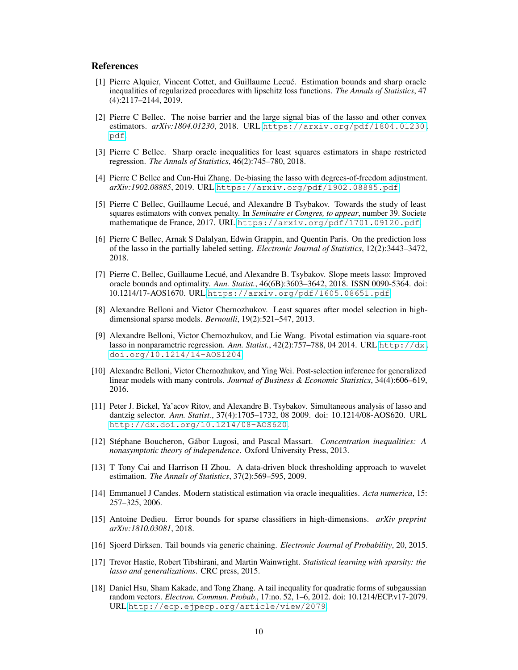#### References

- <span id="page-9-0"></span>[1] Pierre Alquier, Vincent Cottet, and Guillaume Lecué. Estimation bounds and sharp oracle inequalities of regularized procedures with lipschitz loss functions. *The Annals of Statistics*, 47 (4):2117–2144, 2019.
- <span id="page-9-7"></span>[2] Pierre C Bellec. The noise barrier and the large signal bias of the lasso and other convex estimators. *arXiv:1804.01230*, 2018. URL [https://arxiv.org/pdf/1804.01230.](https://arxiv.org/pdf/1804.01230.pdf) [pdf](https://arxiv.org/pdf/1804.01230.pdf).
- [3] Pierre C Bellec. Sharp oracle inequalities for least squares estimators in shape restricted regression. *The Annals of Statistics*, 46(2):745–780, 2018.
- <span id="page-9-5"></span>[4] Pierre C Bellec and Cun-Hui Zhang. De-biasing the lasso with degrees-of-freedom adjustment. *arXiv:1902.08885*, 2019. URL <https://arxiv.org/pdf/1902.08885.pdf>.
- <span id="page-9-8"></span>[5] Pierre C Bellec, Guillaume Lecué, and Alexandre B Tsybakov. Towards the study of least squares estimators with convex penalty. In *Seminaire et Congres, to appear*, number 39. Societe mathematique de France, 2017. URL <https://arxiv.org/pdf/1701.09120.pdf>.
- <span id="page-9-12"></span>[6] Pierre C Bellec, Arnak S Dalalyan, Edwin Grappin, and Quentin Paris. On the prediction loss of the lasso in the partially labeled setting. *Electronic Journal of Statistics*, 12(2):3443–3472, 2018.
- <span id="page-9-1"></span>[7] Pierre C. Bellec, Guillaume Lecué, and Alexandre B. Tsybakov. Slope meets lasso: Improved oracle bounds and optimality. *Ann. Statist.*, 46(6B):3603–3642, 2018. ISSN 0090-5364. doi: 10.1214/17-AOS1670. URL <https://arxiv.org/pdf/1605.08651.pdf>.
- <span id="page-9-9"></span>[8] Alexandre Belloni and Victor Chernozhukov. Least squares after model selection in highdimensional sparse models. *Bernoulli*, 19(2):521–547, 2013.
- <span id="page-9-4"></span>[9] Alexandre Belloni, Victor Chernozhukov, and Lie Wang. Pivotal estimation via square-root lasso in nonparametric regression. *Ann. Statist.*, 42(2):757–788, 04 2014. URL [http://dx.](http://dx.doi.org/10.1214/14-AOS1204) [doi.org/10.1214/14-AOS1204](http://dx.doi.org/10.1214/14-AOS1204).
- <span id="page-9-6"></span>[10] Alexandre Belloni, Victor Chernozhukov, and Ying Wei. Post-selection inference for generalized linear models with many controls. *Journal of Business & Economic Statistics*, 34(4):606–619, 2016.
- <span id="page-9-3"></span>[11] Peter J. Bickel, Ya'acov Ritov, and Alexandre B. Tsybakov. Simultaneous analysis of lasso and dantzig selector. *Ann. Statist.*, 37(4):1705–1732, 08 2009. doi: 10.1214/08-AOS620. URL <http://dx.doi.org/10.1214/08-AOS620>.
- [12] Stéphane Boucheron, Gábor Lugosi, and Pascal Massart. *Concentration inequalities: A nonasymptotic theory of independence*. Oxford University Press, 2013.
- <span id="page-9-11"></span>[13] T Tony Cai and Harrison H Zhou. A data-driven block thresholding approach to wavelet estimation. *The Annals of Statistics*, 37(2):569–595, 2009.
- <span id="page-9-10"></span>[14] Emmanuel J Candes. Modern statistical estimation via oracle inequalities. *Acta numerica*, 15: 257–325, 2006.
- [15] Antoine Dedieu. Error bounds for sparse classifiers in high-dimensions. *arXiv preprint arXiv:1810.03081*, 2018.
- [16] Sjoerd Dirksen. Tail bounds via generic chaining. *Electronic Journal of Probability*, 20, 2015.
- <span id="page-9-2"></span>[17] Trevor Hastie, Robert Tibshirani, and Martin Wainwright. *Statistical learning with sparsity: the lasso and generalizations*. CRC press, 2015.
- [18] Daniel Hsu, Sham Kakade, and Tong Zhang. A tail inequality for quadratic forms of subgaussian random vectors. *Electron. Commun. Probab.*, 17:no. 52, 1–6, 2012. doi: 10.1214/ECP.v17-2079. URL <http://ecp.ejpecp.org/article/view/2079>.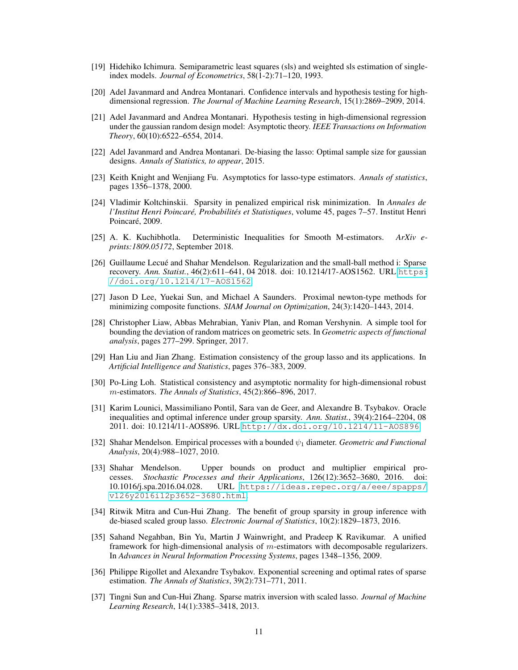- <span id="page-10-3"></span>[19] Hidehiko Ichimura. Semiparametric least squares (sls) and weighted sls estimation of singleindex models. *Journal of Econometrics*, 58(1-2):71–120, 1993.
- <span id="page-10-10"></span>[20] Adel Javanmard and Andrea Montanari. Confidence intervals and hypothesis testing for highdimensional regression. *The Journal of Machine Learning Research*, 15(1):2869–2909, 2014.
- <span id="page-10-11"></span>[21] Adel Javanmard and Andrea Montanari. Hypothesis testing in high-dimensional regression under the gaussian random design model: Asymptotic theory. *IEEE Transactions on Information Theory*, 60(10):6522–6554, 2014.
- <span id="page-10-5"></span>[22] Adel Javanmard and Andrea Montanari. De-biasing the lasso: Optimal sample size for gaussian designs. *Annals of Statistics, to appear*, 2015.
- <span id="page-10-4"></span>[23] Keith Knight and Wenjiang Fu. Asymptotics for lasso-type estimators. *Annals of statistics*, pages 1356–1378, 2000.
- [24] Vladimir Koltchinskii. Sparsity in penalized empirical risk minimization. In *Annales de l'Institut Henri Poincaré, Probabilités et Statistiques*, volume 45, pages 7–57. Institut Henri Poincaré, 2009.
- <span id="page-10-2"></span>[25] A. K. Kuchibhotla. Deterministic Inequalities for Smooth M-estimators. *ArXiv eprints:1809.05172*, September 2018.
- <span id="page-10-6"></span>[26] Guillaume Lecué and Shahar Mendelson. Regularization and the small-ball method i: Sparse recovery. *Ann. Statist.*, 46(2):611–641, 04 2018. doi: 10.1214/17-AOS1562. URL [https:](https://doi.org/10.1214/17-AOS1562) [//doi.org/10.1214/17-AOS1562](https://doi.org/10.1214/17-AOS1562).
- [27] Jason D Lee, Yuekai Sun, and Michael A Saunders. Proximal newton-type methods for minimizing composite functions. *SIAM Journal on Optimization*, 24(3):1420–1443, 2014.
- [28] Christopher Liaw, Abbas Mehrabian, Yaniv Plan, and Roman Vershynin. A simple tool for bounding the deviation of random matrices on geometric sets. In *Geometric aspects of functional analysis*, pages 277–299. Springer, 2017.
- <span id="page-10-9"></span>[29] Han Liu and Jian Zhang. Estimation consistency of the group lasso and its applications. In *Artificial Intelligence and Statistics*, pages 376–383, 2009.
- [30] Po-Ling Loh. Statistical consistency and asymptotic normality for high-dimensional robust m-estimators. *The Annals of Statistics*, 45(2):866–896, 2017.
- <span id="page-10-8"></span>[31] Karim Lounici, Massimiliano Pontil, Sara van de Geer, and Alexandre B. Tsybakov. Oracle inequalities and optimal inference under group sparsity. *Ann. Statist.*, 39(4):2164–2204, 08 2011. doi: 10.1214/11-AOS896. URL <http://dx.doi.org/10.1214/11-AOS896>.
- <span id="page-10-14"></span>[32] Shahar Mendelson. Empirical processes with a bounded ψ<sup>1</sup> diameter. *Geometric and Functional Analysis*, 20(4):988–1027, 2010.
- <span id="page-10-13"></span>[33] Shahar Mendelson. Upper bounds on product and multiplier empirical processes. *Stochastic Processes and their Applications*, 126(12):3652–3680, 2016. doi: 10.1016/j.spa.2016.04.028. URL [https://ideas.repec.org/a/eee/spapps/](https://ideas.repec.org/a/eee/spapps/v126y2016i12p3652-3680.html) [v126y2016i12p3652-3680.html](https://ideas.repec.org/a/eee/spapps/v126y2016i12p3652-3680.html).
- <span id="page-10-12"></span>[34] Ritwik Mitra and Cun-Hui Zhang. The benefit of group sparsity in group inference with de-biased scaled group lasso. *Electronic Journal of Statistics*, 10(2):1829–1873, 2016.
- <span id="page-10-0"></span>[35] Sahand Negahban, Bin Yu, Martin J Wainwright, and Pradeep K Ravikumar. A unified framework for high-dimensional analysis of m-estimators with decomposable regularizers. In *Advances in Neural Information Processing Systems*, pages 1348–1356, 2009.
- <span id="page-10-1"></span>[36] Philippe Rigollet and Alexandre Tsybakov. Exponential screening and optimal rates of sparse estimation. *The Annals of Statistics*, 39(2):731–771, 2011.
- <span id="page-10-7"></span>[37] Tingni Sun and Cun-Hui Zhang. Sparse matrix inversion with scaled lasso. *Journal of Machine Learning Research*, 14(1):3385–3418, 2013.